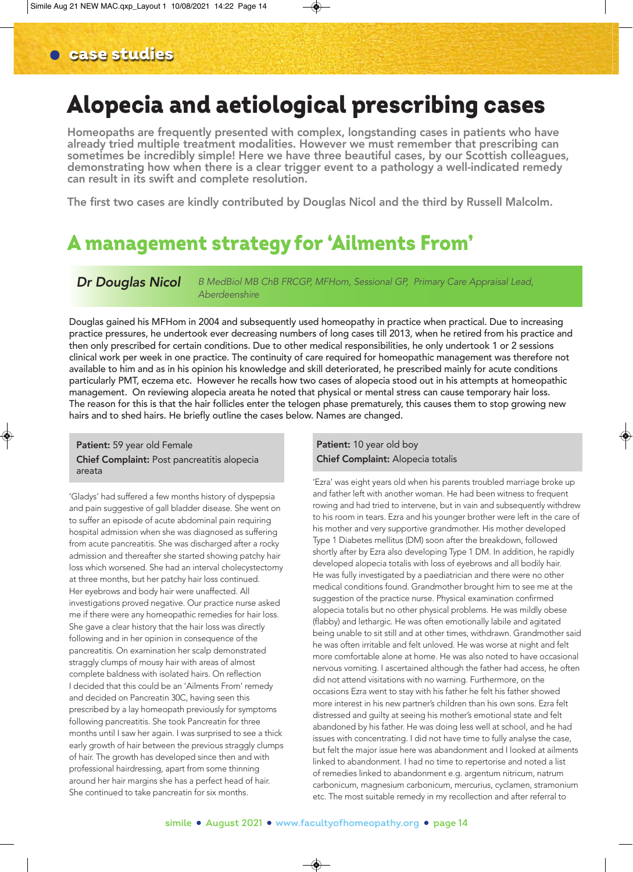# Alopecia and aetiological prescribing cases

Homeopaths are frequently presented with complex, longstanding cases in patients who have already tried multiple treatment modalities. However we must remember that prescribing can sometimes be incredibly simple! Here we have three beautiful cases, by our Scottish colleagues, demonstrating how when there is a clear trigger event to a pathology a well-indicated remedy can result in its swift and complete resolution.

The first two cases are kindly contributed by Douglas Nicol and the third by Russell Malcolm.

# A management strategy for 'Ailments From'

*Dr Douglas Nicol B MedBiol MB ChB FRCGP, MFHom, Sessional GP, Primary Care Appraisal Lead, Aberdeenshire* 

Douglas gained his MFHom in 2004 and subsequently used homeopathy in practice when practical. Due to increasing practice pressures, he undertook ever decreasing numbers of long cases till 2013, when he retired from his practice and then only prescribed for certain conditions. Due to other medical responsibilities, he only undertook 1 or 2 sessions clinical work per week in one practice. The continuity of care required for homeopathic management was therefore not available to him and as in his opinion his knowledge and skill deteriorated, he prescribed mainly for acute conditions particularly PMT, eczema etc. However he recalls how two cases of alopecia stood out in his attempts at homeopathic management. On reviewing alopecia areata he noted that physical or mental stress can cause temporary hair loss. The reason for this is that the hair follicles enter the telogen phase prematurely, this causes them to stop growing new hairs and to shed hairs. He briefly outline the cases below. Names are changed.

### Patient: 59 year old Female Chief Complaint: Post pancreatitis alopecia areata

'Gladys' had suffered a few months history of dyspepsia and pain suggestive of gall bladder disease. She went on to suffer an episode of acute abdominal pain requiring hospital admission when she was diagnosed as suffering from acute pancreatitis. She was discharged after a rocky admission and thereafter she started showing patchy hair loss which worsened. She had an interval cholecystectomy at three months, but her patchy hair loss continued. Her eyebrows and body hair were unaffected. All investigations proved negative. Our practice nurse asked me if there were any homeopathic remedies for hair loss. She gave a clear history that the hair loss was directly following and in her opinion in consequence of the pancreatitis. On examination her scalp demonstrated straggly clumps of mousy hair with areas of almost complete baldness with isolated hairs. On reflection I decided that this could be an 'Ailments From' remedy and decided on Pancreatin 30C, having seen this prescribed by a lay homeopath previously for symptoms following pancreatitis. She took Pancreatin for three months until I saw her again. I was surprised to see a thick early growth of hair between the previous straggly clumps of hair. The growth has developed since then and with professional hairdressing, apart from some thinning around her hair margins she has a perfect head of hair. She continued to take pancreatin for six months.

# Patient: 10 year old boy Chief Complaint: Alopecia totalis

'Ezra' was eight years old when his parents troubled marriage broke up and father left with another woman. He had been witness to frequent rowing and had tried to intervene, but in vain and subsequently withdrew to his room in tears. Ezra and his younger brother were left in the care of his mother and very supportive grandmother. His mother developed Type 1 Diabetes mellitus (DM) soon after the breakdown, followed shortly after by Ezra also developing Type 1 DM. In addition, he rapidly developed alopecia totalis with loss of eyebrows and all bodily hair. He was fully investigated by a paediatrician and there were no other medical conditions found. Grandmother brought him to see me at the suggestion of the practice nurse. Physical examination confirmed alopecia totalis but no other physical problems. He was mildly obese (flabby) and lethargic. He was often emotionally labile and agitated being unable to sit still and at other times, withdrawn. Grandmother said he was often irritable and felt unloved. He was worse at night and felt more comfortable alone at home. He was also noted to have occasional nervous vomiting. I ascertained although the father had access, he often did not attend visitations with no warning. Furthermore, on the occasions Ezra went to stay with his father he felt his father showed more interest in his new partner's children than his own sons. Ezra felt distressed and guilty at seeing his mother's emotional state and felt abandoned by his father. He was doing less well at school, and he had issues with concentrating. I did not have time to fully analyse the case, but felt the major issue here was abandonment and I looked at ailments linked to abandonment. I had no time to repertorise and noted a list of remedies linked to abandonment e.g. argentum nitricum, natrum carbonicum, magnesium carbonicum, mercurius, cyclamen, stramonium etc. The most suitable remedy in my recollection and after referral to